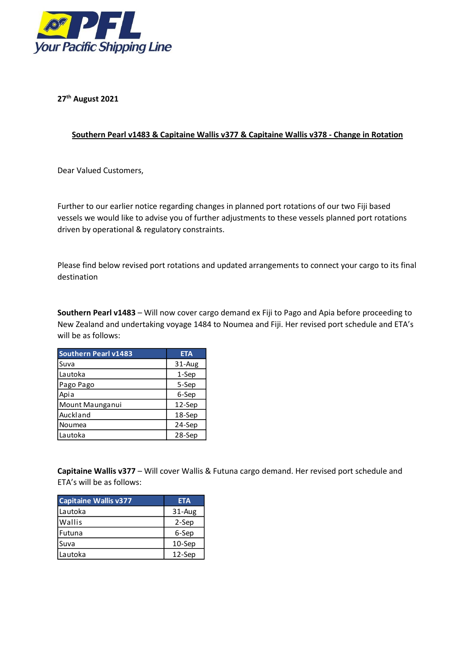

**27 th August 2021**

## **Southern Pearl v1483 & Capitaine Wallis v377 & Capitaine Wallis v378 - Change in Rotation**

Dear Valued Customers,

Further to our earlier notice regarding changes in planned port rotations of our two Fiji based vessels we would like to advise you of further adjustments to these vessels planned port rotations driven by operational & regulatory constraints.

Please find below revised port rotations and updated arrangements to connect your cargo to its final destination

**Southern Pearl v1483** – Will now cover cargo demand ex Fiji to Pago and Apia before proceeding to New Zealand and undertaking voyage 1484 to Noumea and Fiji. Her revised port schedule and ETA's will be as follows:

| <b>Southern Pearl v1483</b> | <b>ETA</b> |
|-----------------------------|------------|
| Suva                        | 31-Aug     |
| Lautoka                     | 1-Sep      |
| Pago Pago                   | 5-Sep      |
| Apia                        | 6-Sep      |
| Mount Maunganui             | 12-Sep     |
| Auckland                    | 18-Sep     |
| Noumea                      | 24-Sep     |
| Lautoka                     | 28-Sep     |

**Capitaine Wallis v377** – Will cover Wallis & Futuna cargo demand. Her revised port schedule and ETA's will be as follows:

| <b>Capitaine Wallis v377</b> | <b>ETA</b> |
|------------------------------|------------|
| l Lautoka                    | 31-Aug     |
| l Wallis                     | 2-Sep      |
| Futuna                       | 6-Sep      |
| Suva                         | $10-$ Sep  |
| Lautoka                      | $12-$ Sep  |